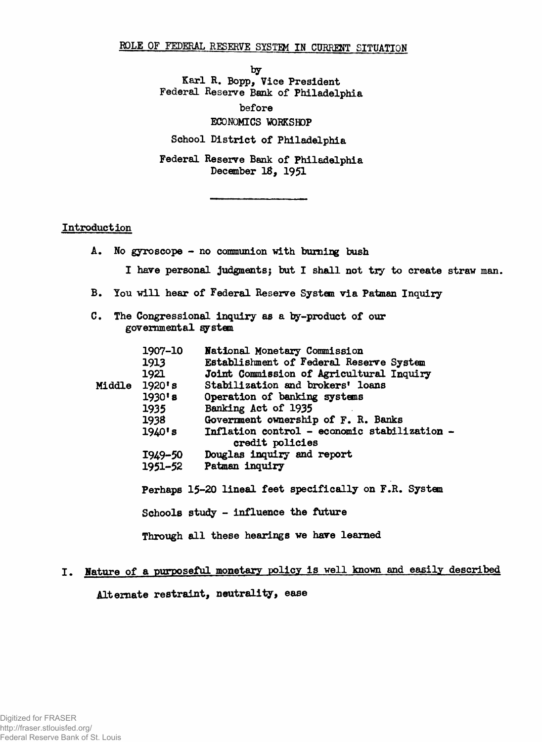## **ROLE OF FEDERAL RESERVE SYSTEM IN CURRENT SITUATION**

*by*

**Karl R. Bopp, Vice President Federal Reserve Bank of Philadelphia**

**before**

#### **ECONOMICS WORKSHOP**

**School District of Philadelphia**

**Federal Reserve Bank of Philadelphia December 18, 1951**

#### **Introduction**

- **A. No gyroscope no communion with burning bush**
	- **I have personal judgments; but I shall not try to create straw man.**
- **B. You will hear of Federal Reserve System via Patman Inquiry**
- **C. The Congressional inquiry as a by-product of our governmental system**

|  | 1907-10<br>1913<br>1921 | National Monetary Commission<br>Establishment of Federal Reserve System<br>Joint Commission of Agricultural Inquiry |
|--|-------------------------|---------------------------------------------------------------------------------------------------------------------|
|  | Middle 1920's           | Stabilization and brokers' loans                                                                                    |
|  | $1930'$ s               | Operation of banking systems                                                                                        |
|  | 1935                    | Banking Act of 1935                                                                                                 |
|  | 1938                    | Government ownership of F. R. Banks                                                                                 |
|  | 1940's                  | Inflation control - economic stabilization -<br>credit policies                                                     |
|  | I949–50                 | Douglas inquiry and report                                                                                          |
|  | 1951–52                 | Patman inquiry                                                                                                      |
|  |                         | Perhaps 15-20 lineal feet specifically on F.R. System                                                               |
|  |                         | Schools study - influence the future                                                                                |
|  |                         | Through all these hearings we have learned                                                                          |

# **I. Nature of a purposeful monetary policy is well known and easily described**

**Alternate restraint, neutrality, ease**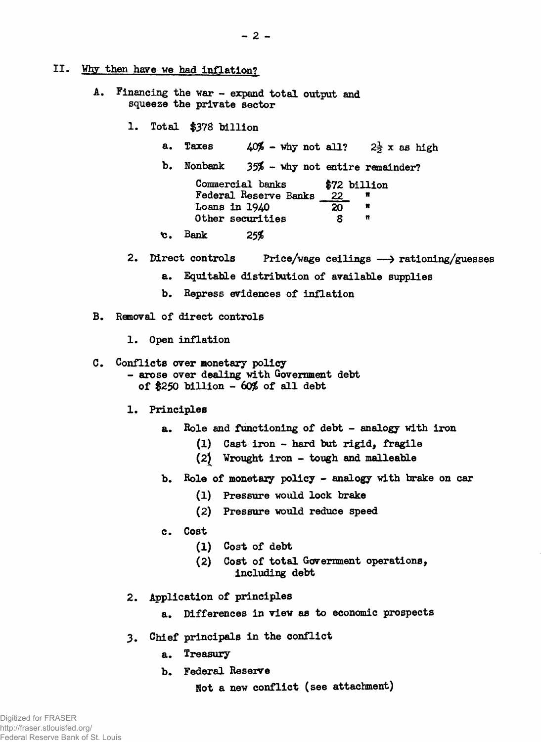## II. Why then have we had inflation?

- **A. Financing the war expand total output and squeeze the private sector**
	- **1. Total |378 billion**
		- **a.** Taxes  $40\%$  why not all?  $2\frac{1}{2}$  x as high
		- **b. Nonbank** *35%* **'why not entire remainder?**

| Commercial banks      |    | \$72 billion |
|-----------------------|----|--------------|
| Federal Reserve Banks | 22 |              |
| Loans in 1940         | 20 |              |
| Other securities      | я  |              |

- **■c. Bank** *25%*
- **2. Direct controls Price/wage ceilings > rationing/guesses**
	- **a. Equitable distribution of available supplies**
	- **b. Repress evidences of inflation**
- **B. Removal of direct controls**
	- **1. Open inflation**

#### **C. Conflicts over monetary policy**

- **arose over dealing with Government debt of** \$250 **billion -** 6**o£ of all debt**
- **1. Principles**
	- **a. Role and functioning of debt analogy with iron**
		- **(1) Cast iron hard but rigid, fragile**
		- **(**2**) Wrought iron tough and malleable**
	- **b. Role of monetary policy analogy with brake on car**
		- **(1) Pressure would lock brake**
		- **(2) Pressure would reduce speed**
	- **c. Cost**
		- **(**1**) Cost of debt**
		- **(**2**) Cost of total Government operations, including debt**
- **2. Application of principles**
	- **a. Differences in view as to economic prospects**
- **3. Chief principals in the conflict**
	- **a. Treasury**
	- **b. Federal Reserve**

**Not a new conflict (see attachment)**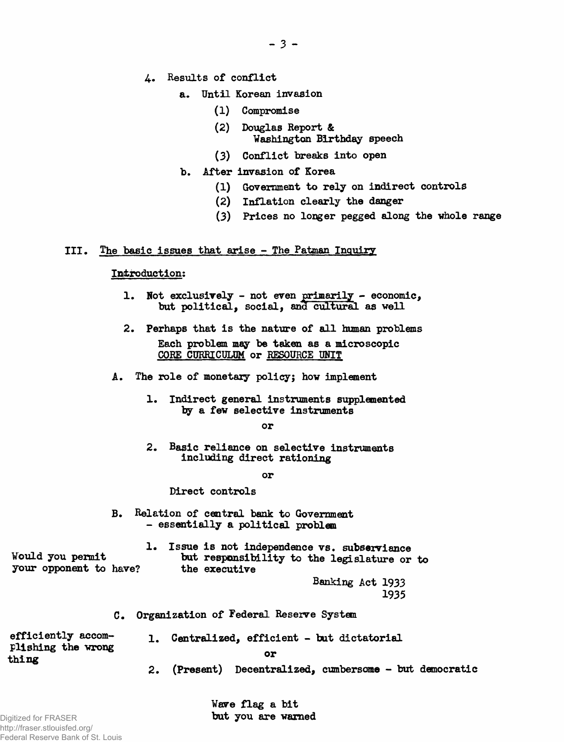- 4**. Results of conflict**
	- **a. Until Korean invasion**
		- **(**1**) Compromise**
		- **(**2**) Douglas Report & Washington Birthday speech**
		- **(3) Conflict breaks into open**
	- ъ. **After invasion of Korea**
		- **(i) Government to rely on indirect controls**
		- **(**2**) Inflation clearly the danger**
		- **(3) Prices no longer pegged along the whole range**

## III. The basic issues that arise - The Patman Inquiry

## Introduction:

- **1. Not exclusively not even primarily economic,** but political, social, and cultural as well
- **2.** Perhaps that is the nature of all human problems Each problem may be taken as a microscopic CORE CURRICULDM or RESOURCE UNIT
- A. The role of monetary policy; how implement
	- 1. Indirect general instruments supplemented by a few selective instruments

#### or

2. Basic reliance on selective instruments including direct rationing

or

#### Direct controls

B. Relation of central bank to Government - essentially a political problem

1. Issue is not independence vs. subserviance Would you permit but responsibility to the legislature or to your opponent to have? the executive your opponent to have?

Banking Act **1933 1935**

C. Organization of Federal Reserve System

efficiently accom- 1. Centralized, efficient - but dictatorial plishing the wrong

thing the correction of the correction of  $\mathbf{u}$ 

**2.** (Present) Decentralized, cumbersome - but democratic

**Wave flag a bit but you are warned**